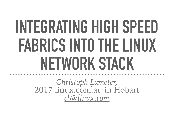# **INTEGRATING HIGH SPEED FABRICS INTO THE LINUX NETWORK STACK**

*Christoph Lameter,* 2017 [linux.conf.au](http://linux.conf.au) in Hobart *[cl@linux.com](mailto:cl@linux.com)*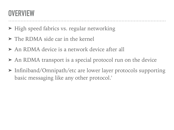#### **OVERVIEW**

- ➤ High speed fabrics vs. regular networking
- ➤ The RDMA side car in the kernel
- ➤ An RDMA device is a network device after all
- ➤ An RDMA transport is a special protocol run on the device
- ➤ Infiniband/Omnipath/etc are lower layer protocols supporting basic messaging like any other protocol.'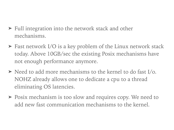- ➤ Full integration into the network stack and other mechanisms.
- ➤ Fast network I/O is a key problem of the Linux network stack today. Above 10GB/sec the existing Posix mechanisms have not enough performance anymore.
- ➤ Need to add more mechanisms to the kernel to do fast I/o. NOHZ already allows one to dedicate a cpu to a thread eliminating OS latencies.
- ➤ Posix mechanism is too slow and requires copy. We need to add new fast communication mechanisms to the kernel.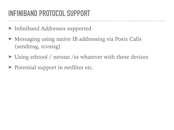# **INFINIBAND PROTOCOL SUPPORT**

- ➤ Infiniband Addresses supported
- ➤ Messaging using native IB addressing via Posix Calls (sendmsg, rcvmsg)
- ➤ Using ethtool / netstat /ss whatever with these devices
- ► Potential support in netfilter etc.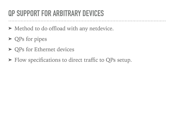# **QP SUPPORT FOR ARBITRARY DEVICES**

- ➤ Method to do offload with any netdevice.
- ► QPs for pipes
- ➤ QPs for Ethernet devices
- ➤ Flow specifications to direct traffic to QPs setup.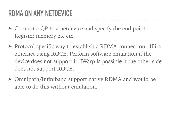# **RDMA ON ANY NETDEVICE**

- ➤ Connect a QP to a netdevice and specify the end point. Register memory etc etc.
- ➤ Protocol specific way to establish a RDMA connection. If its ethernet using ROCE. Perform software emulation if the device does not support it. IWarp is possible if the other side does not support ROCE.
- ➤ Omnipath/Infiniband support native RDMA and would be able to do this without emulation.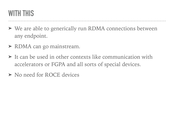#### **WITH THIS**

- ➤ We are able to generically run RDMA connections between any endpoint.
- ➤ RDMA can go mainstream.
- ➤ It can be used in other contexts like communication with accelerators or FGPA and all sorts of special devices.
- ➤ No need for ROCE devices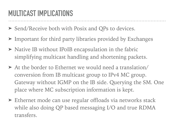### **MULTICAST IMPLICATIONS**

- ➤ Send/Receive both with Posix and QPs to devices.
- ➤ Important for third party libraries provided by Exchanges
- ➤ Native IB without IPoIB encapsulation in the fabric simplifying multicast handling and shortening packets.
- ➤ At the border to Ethernet we would need a translation/ conversion from IB multicast group to IPv4 MC group. Gateway without IGMP on the IB side. Querying the SM. One place where MC subscription information is kept.
- ➤ Ethernet mode can use regular offloads via networks stack while also doing QP based messaging I/O and true RDMA transfers.